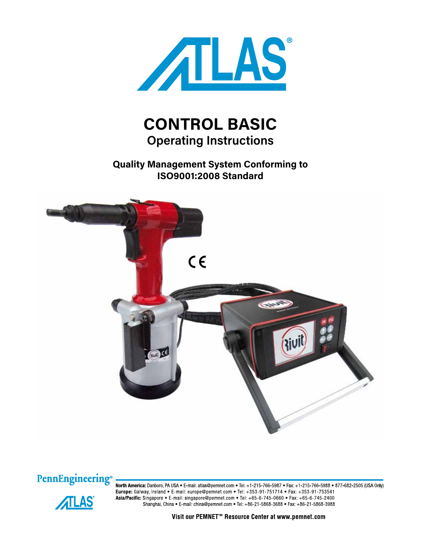

# **CONTROL BASIC Operating Instructions**

**Quality Management System Conforming to ISO9001:2008 Standard**





**ATLAS** 

North America: Danboro, PA USA . E-mail: atlas@pemnet.com . Tel: +1-215-766-5987 . Fax: +1-215-766-5988 . 877-682-2505 (USA Only) Europe: Galway, Ireland • E-mail: europe@pemnet.com • Tel: +353-91-751714 • Fax: +353-91-753541 Asia/Pacific: Singapore • E-mail: singapore@pemnet.com • Tel: +65-6-745-0660 • Fax: +65-6-745-2400 Shanghai, China • E-mail: china@pemnet.com • Tel: +86-21-5868-3688 • Fax: +86-21-5868-3988

Visit our PEMNET<sup>™</sup> Resource Center at www.pemnet.com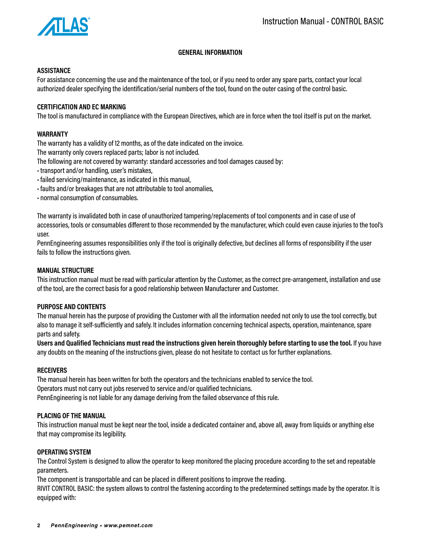

## **GENERAL INFORMATION**

## **ASSISTANCE**

For assistance concerning the use and the maintenance of the tool, or if you need to order any spare parts, contact your local authorized dealer specifying the identification/serial numbers of the tool, found on the outer casing of the control basic.

## **CERTIFICATION AND EC MARKING**

The tool is manufactured in compliance with the European Directives, which are in force when the tool itself is put on the market.

## **WARRANTY**

The warranty has a validity of 12 months, as of the date indicated on the invoice.

The warranty only covers replaced parts; labor is not included.

The following are not covered by warranty: standard accessories and tool damages caused by:

- transport and/or handling, user's mistakes,
- failed servicing/maintenance, as indicated in this manual,
- faults and/or breakages that are not attributable to tool anomalies,
- normal consumption of consumables.

The warranty is invalidated both in case of unauthorized tampering/replacements of tool components and in case of use of accessories, tools or consumables different to those recommended by the manufacturer, which could even cause injuries to the tool's user.

PennEngineering assumes responsibilities only if the tool is originally defective, but declines all forms of responsibility if the user fails to follow the instructions given.

#### **MANUAL STRUCTURE**

This instruction manual must be read with particular attention by the Customer, as the correct pre-arrangement, installation and use of the tool, are the correct basis for a good relationship between Manufacturer and Customer.

#### **PURPOSE AND CONTENTS**

The manual herein has the purpose of providing the Customer with all the information needed not only to use the tool correctly, but also to manage it self-sufficiently and safely. It includes information concerning technical aspects, operation, maintenance, spare parts and safety.

**Users and Qualified Technicians must read the instructions given herein thoroughly before starting to use the tool.** If you have any doubts on the meaning of the instructions given, please do not hesitate to contact us for further explanations.

## **RECEIVERS**

The manual herein has been written for both the operators and the technicians enabled to service the tool. Operators must not carry out jobs reserved to service and/or qualified technicians. PennEngineering is not liable for any damage deriving from the failed observance of this rule.

## **PLACING OF THE MANUAL**

This instruction manual must be kept near the tool, inside a dedicated container and, above all, away from liquids or anything else that may compromise its legibility.

#### **OPERATING SYSTEM**

The Control System is designed to allow the operator to keep monitored the placing procedure according to the set and repeatable parameters.

The component is transportable and can be placed in different positions to improve the reading.

RIVIT CONTROL BASIC: the system allows to control the fastening according to the predetermined settings made by the operator. It is equipped with: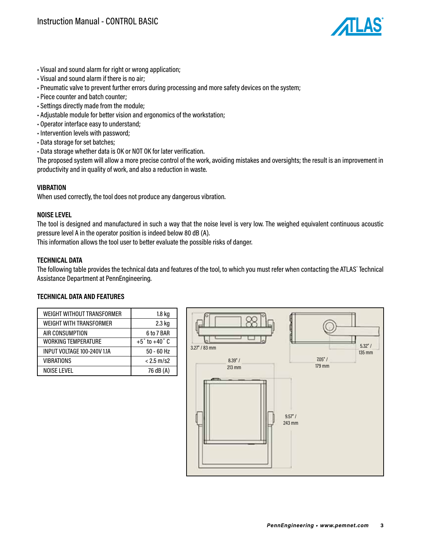

- Visual and sound alarm for right or wrong application;
- Visual and sound alarm if there is no air;
- Pneumatic valve to prevent further errors during processing and more safety devices on the system;
- Piece counter and batch counter;
- Settings directly made from the module;
- Adjustable module for better vision and ergonomics of the workstation;
- Operator interface easy to understand;
- Intervention levels with password;
- Data storage for set batches;
- Data storage whether data is OK or NOT OK for later verification.

The proposed system will allow a more precise control of the work, avoiding mistakes and oversights; the result is an improvement in productivity and in quality of work, and also a reduction in waste.

## **VIBRATION**

When used correctly, the tool does not produce any dangerous vibration.

#### **NOISE LEVEL**

The tool is designed and manufactured in such a way that the noise level is very low. The weighed equivalent continuous acoustic pressure level A in the operator position is indeed below 80 dB (A).

This information allows the tool user to better evaluate the possible risks of danger.

#### **TECHNICAL DATA**

The following table provides the technical data and features of the tool, to which you must refer when contacting the ATLAS˚ Technical Assistance Department at PennEngineering.

## **TECHNICAL DATA AND FEATURES**

| <b>WEIGHT WITHOUT TRANSFORMER</b> | 1.8 kg                      |
|-----------------------------------|-----------------------------|
| <b>WEIGHT WITH TRANSFORMER</b>    | 2.3 kg                      |
| AIR CONSUMPTION                   | 6 to 7 BAR                  |
| <b>WORKING TEMPERATURE</b>        | $+5^\circ$ to $+40^\circ$ C |
| INPUT VOLTAGE 100-240V 1.1A       | $50 - 60$ Hz                |
| <b>VIBRATIONS</b>                 | $< 2.5$ m/s2                |
| <b>NOISE LEVEL</b>                | 76 dB (A)                   |

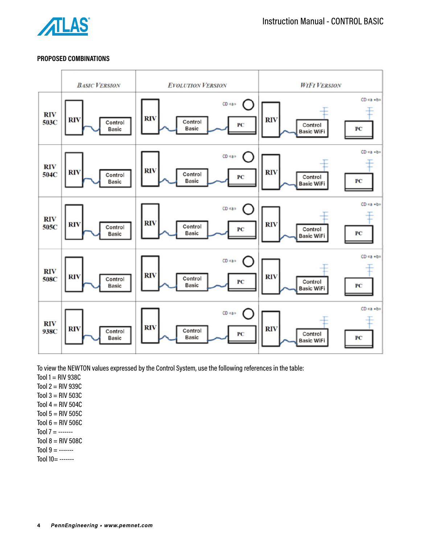

## **PROPOSED COMBINATIONS**



To view the NEWTON values expressed by the Control System, use the following references in the table:

Tool  $1 = RIV 938C$ 

Tool  $2 = RIV939C$ 

Tool  $3 = RIV 503C$ 

Tool  $4 = RIV 504C$ 

Tool  $5 = RIV 505C$ 

- Tool  $6 = RIV 506C$
- Tool  $7 =$  -------

Tool  $8 = RIV 508C$ 

Tool  $9 =$  -------

 $Tool 10 =$  -------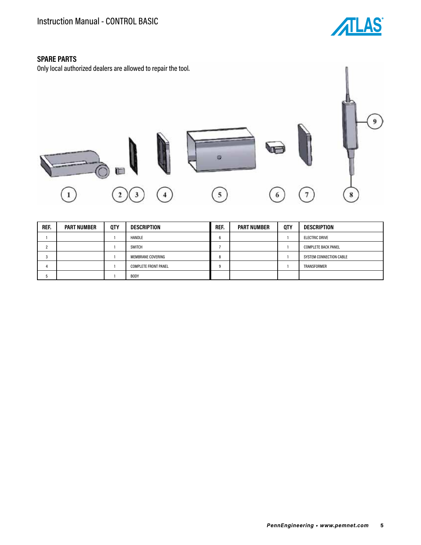

# **SPARE PARTS**

Only local authorized dealers are allowed to repair the tool.



| REF. | <b>PART NUMBER</b> | <b>QTY</b> | <b>DESCRIPTION</b>          | REF. | <b>PART NUMBER</b> | <b>QTY</b> | DESCRIPTION                |
|------|--------------------|------------|-----------------------------|------|--------------------|------------|----------------------------|
|      |                    |            | <b>HANDLE</b>               |      |                    |            | <b>ELECTRIC DRIVE</b>      |
|      |                    |            | <b>SWITCH</b>               |      |                    |            | <b>COMPLETE BACK PANEL</b> |
|      |                    |            | <b>MEMBRANE COVERING</b>    |      |                    |            | SYSTEM CONNECTION CABLE    |
|      |                    |            | <b>COMPLETE FRONT PANEL</b> |      |                    |            | TRANSFORMER                |
|      |                    |            | <b>BODY</b>                 |      |                    |            |                            |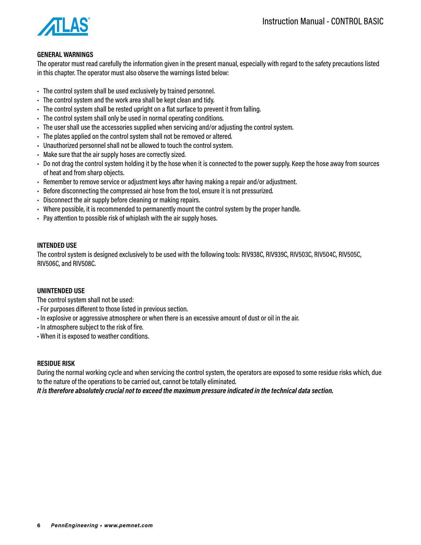

## **GENERAL WARNINGS**

The operator must read carefully the information given in the present manual, especially with regard to the safety precautions listed in this chapter. The operator must also observe the warnings listed below:

- The control system shall be used exclusively by trained personnel.
- The control system and the work area shall be kept clean and tidy.
- The control system shall be rested upright on a flat surface to prevent it from falling.
- The control system shall only be used in normal operating conditions.
- The user shall use the accessories supplied when servicing and/or adjusting the control system.
- The plates applied on the control system shall not be removed or altered.
- Unauthorized personnel shall not be allowed to touch the control system.
- Make sure that the air supply hoses are correctly sized.
- Do not drag the control system holding it by the hose when it is connected to the power supply. Keep the hose away from sources of heat and from sharp objects.
- Remember to remove service or adjustment keys after having making a repair and/or adjustment.
- Before disconnecting the compressed air hose from the tool, ensure it is not pressurized.
- Disconnect the air supply before cleaning or making repairs.
- Where possible, it is recommended to permanently mount the control system by the proper handle.
- Pay attention to possible risk of whiplash with the air supply hoses.

## **INTENDED USE**

The control system is designed exclusively to be used with the following tools: RIV938C, RIV939C, RIV503C, RIV504C, RIV505C, RIV506C, and RIV508C.

#### **UNINTENDED USE**

The control system shall not be used:

- For purposes different to those listed in previous section.
- In explosive or aggressive atmosphere or when there is an excessive amount of dust or oil in the air.
- In atmosphere subject to the risk of fire.
- When it is exposed to weather conditions.

## **RESIDUE RISK**

During the normal working cycle and when servicing the control system, the operators are exposed to some residue risks which, due to the nature of the operations to be carried out, cannot be totally eliminated.

*It is therefore absolutely crucial not to exceed the maximum pressure indicated in the technical data section.*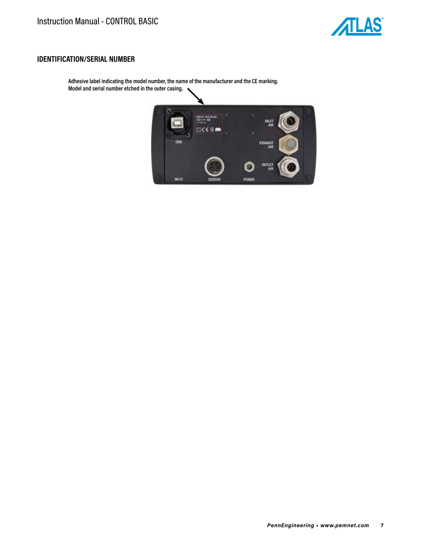

## **IDENTIFICATION/SERIAL NUMBER**

**Adhesive label indicating the model number, the name of the manufacturer and the CE marking. Model and serial number etched in the outer casing.**

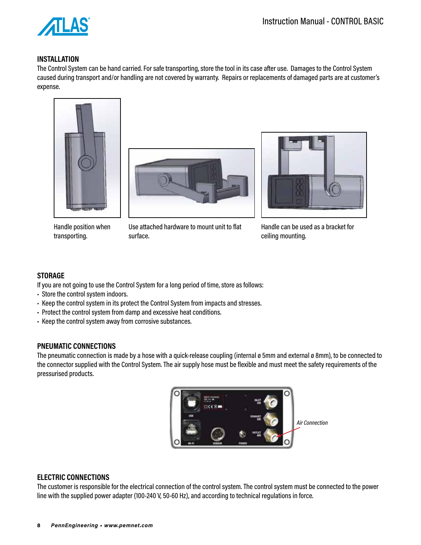

## **INSTALLATION**

The Control System can be hand carried. For safe transporting, store the tool in its case after use. Damages to the Control System caused during transport and/or handling are not covered by warranty. Repairs or replacements of damaged parts are at customer's expense.





Handle position when transporting.

Use attached hardware to mount unit to flat surface.



Handle can be used as a bracket for ceiling mounting.

# **STORAGE**

If you are not going to use the Control System for a long period of time, store as follows:

- Store the control system indoors.
- Keep the control system in its protect the Control System from impacts and stresses.
- Protect the control system from damp and excessive heat conditions.
- Keep the control system away from corrosive substances.

## **PNEUMATIC CONNECTIONS**

The pneumatic connection is made by a hose with a quick-release coupling (internal ø 5mm and external ø 8mm), to be connected to the connector supplied with the Control System. The air supply hose must be flexible and must meet the safety requirements of the pressurised products.



# **ELECTRIC CONNECTIONS**

The customer is responsible for the electrical connection of the control system. The control system must be connected to the power line with the supplied power adapter (100-240 V, 50-60 Hz), and according to technical regulations in force.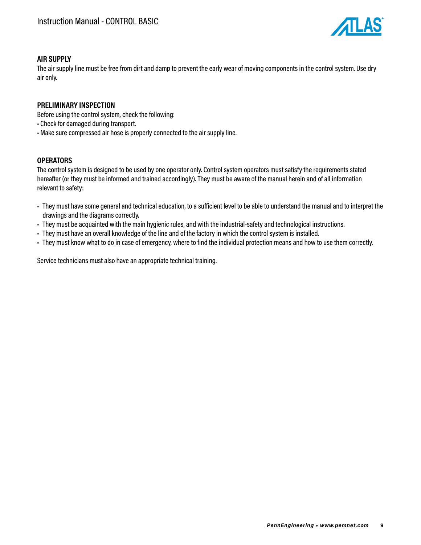

# **AIR SUPPLY**

The air supply line must be free from dirt and damp to prevent the early wear of moving components in the control system. Use dry air only.

## **PRELIMINARY INSPECTION**

Before using the control system, check the following:

- Check for damaged during transport.
- Make sure compressed air hose is properly connected to the air supply line.

## **OPERATORS**

The control system is designed to be used by one operator only. Control system operators must satisfy the requirements stated hereafter (or they must be informed and trained accordingly). They must be aware of the manual herein and of all information relevant to safety:

- They must have some general and technical education, to a sufficient level to be able to understand the manual and to interpret the drawings and the diagrams correctly.
- They must be acquainted with the main hygienic rules, and with the industrial-safety and technological instructions.
- They must have an overall knowledge of the line and of the factory in which the control system is installed.
- They must know what to do in case of emergency, where to find the individual protection means and how to use them correctly.

Service technicians must also have an appropriate technical training.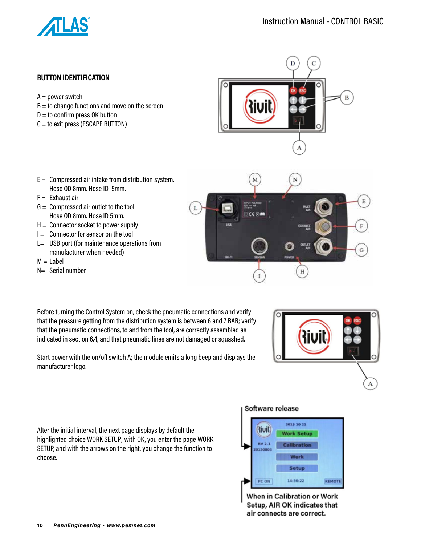

B

# **BUTTON IDENTIFICATION**

- $A = power$  switch
- $B =$  to change functions and move on the screen
- $D =$  to confirm press OK button
- C = to exit press (ESCAPE BUTTON)
- $E =$  Compressed air intake from distribution system. Hose OD 8mm. Hose ID 5mm.
- $F =$  Exhaust air
- $G =$  Compressed air outlet to the tool. Hose OD 8mm. Hose ID 5mm.
- $H =$  Connector socket to power supply
- $I =$  Connector for sensor on the tool
- L= USB port (for maintenance operations from manufacturer when needed)
- $M =$ Label
- N= Serial number

Before turning the Control System on, check the pneumatic connections and verify that the pressure getting from the distribution system is between 6 and 7 BAR; verify that the pneumatic connections, to and from the tool, are correctly assembled as indicated in section 6.4, and that pneumatic lines are not damaged or squashed.

Start power with the on/off switch A; the module emits a long beep and displays the manufacturer logo.

After the initial interval, the next page displays by default the highlighted choice WORK SETUP; with OK, you enter the page WORK SETUP, and with the arrows on the right, you change the function to choose.

#### Software release



When in Calibration or Work Setup, AIR OK indicates that air connects are correct.

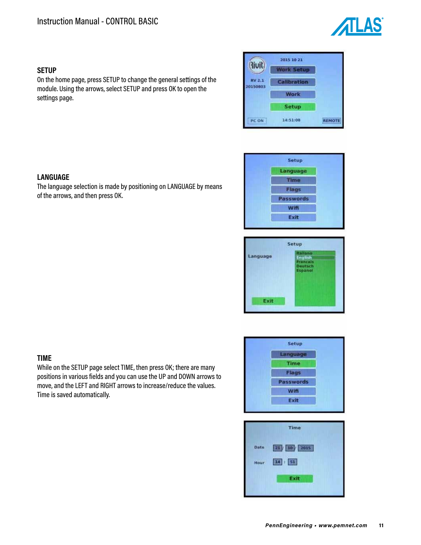

## **SETUP**

**LANGUAGE**

of the arrows, and then press OK.

On the home page, press SETUP to change the general settings of the module. Using the arrows, select SETUP and press OK to open the settings page.

The language selection is made by positioning on LANGUAGE by means





| Language | <b>Italiano</b><br>English<br>Francais<br><b>Deutsch</b><br>Español |
|----------|---------------------------------------------------------------------|
| Exit     |                                                                     |

**TIME**

While on the SETUP page select TIME, then press OK; there are many positions in various fields and you can use the UP and DOWN arrows to move, and the LEFT and RIGHT arrows to increase/reduce the values. Time is saved automatically.



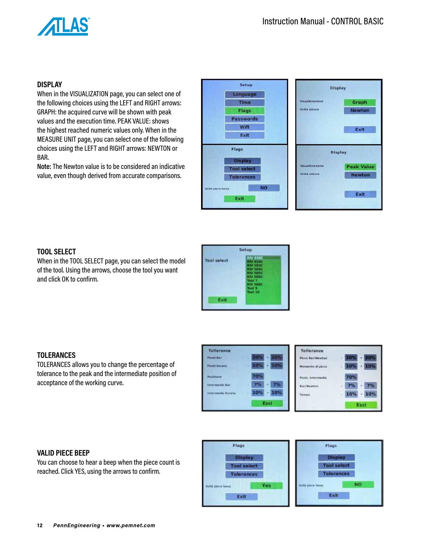

# **DISPLAY**

When in the VISUALIZATION page, you can select one of the following choices using the LEFT and RIGHT arrows: GRAPH: the acquired curve will be shown with peak values and the execution time. PEAK VALUE: shows the highest reached numeric values only. When in the MEASURE UNIT page, you can select one of the following choices using the LEFT and RIGHT arrows: NEWTON or BAR.

**Note:** The Newton value is to be considered an indicative value, even though derived from accurate comparisons.

| Setup<br>Language                     | <b>Display</b>      |                   |  |  |
|---------------------------------------|---------------------|-------------------|--|--|
| Time                                  | Visualizzazione     | Graph             |  |  |
| Flags                                 | <b>Unità misura</b> | <b>Newton</b>     |  |  |
| <b>Passwords</b>                      |                     |                   |  |  |
| Wifi                                  |                     | Exit              |  |  |
| Exit                                  |                     |                   |  |  |
| Flags                                 | <b>Display</b>      |                   |  |  |
| <b>Display</b><br><b>Tool select</b>  | Visualizzazione     | <b>Peak Value</b> |  |  |
| <b>Tolerances</b>                     | Unità misura        | <b>Newton</b>     |  |  |
| <b>NO</b><br>Valid plece beep<br>Exit |                     | Exit              |  |  |
|                                       |                     |                   |  |  |

# **TOOL SELECT**

When in the TOOL SELECT page, you can select the model of the tool. Using the arrows, choose the tool you want and click OK to confirm.



#### **TOLERANCES**

TOLERANCES allows you to change the percentage of tolerance to the peak and the intermediate position of acceptance of the working curve.



#### **VALID PIECE BEEP**

You can choose to hear a beep when the piece count is reached. Click YES, using the arrows to confirm.

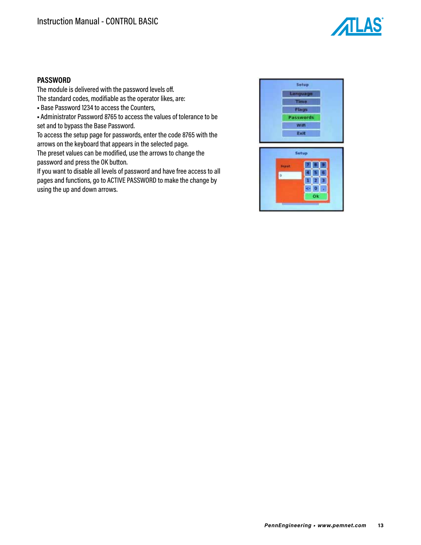

# **PASSWORD**

The module is delivered with the password levels off. The standard codes, modifiable as the operator likes, are:

• Base Password 1234 to access the Counters,

• Administrator Password 8765 to access the values of tolerance to be set and to bypass the Base Password.

To access the setup page for passwords, enter the code 8765 with the arrows on the keyboard that appears in the selected page. The preset values can be modified, use the arrows to change the

password and press the OK button.

If you want to disable all levels of password and have free access to all pages and functions, go to ACTIVE PASSWORD to make the change by using the up and down arrows.

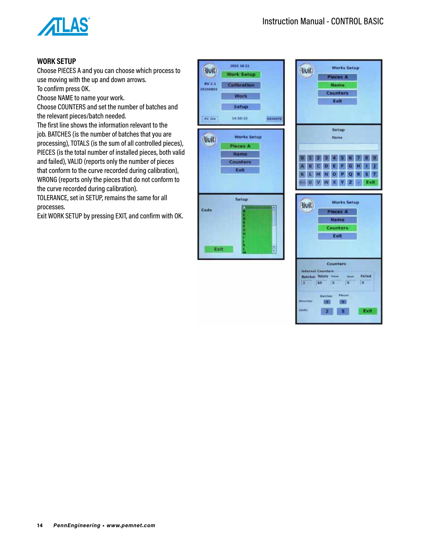

# **WORK SETUP**

Choose PIECES A and you can choose which process to use moving with the up and down arrows.

To confirm press OK.

Choose NAME to name your work.

Choose COUNTERS and set the number of batches and the relevant pieces/batch needed.

The first line shows the information relevant to the job. BATCHES (is the number of batches that you are processing), TOTALS (is the sum of all controlled pieces), PIECES (is the total number of installed pieces, both valid and failed), VALID (reports only the number of pieces that conform to the curve recorded during calibration), WRONG (reports only the pieces that do not conform to the curve recorded during calibration).

TOLERANCE, set in SETUP, remains the same for all processes.

Exit WORK SETUP by pressing EXIT, and confirm with OK.

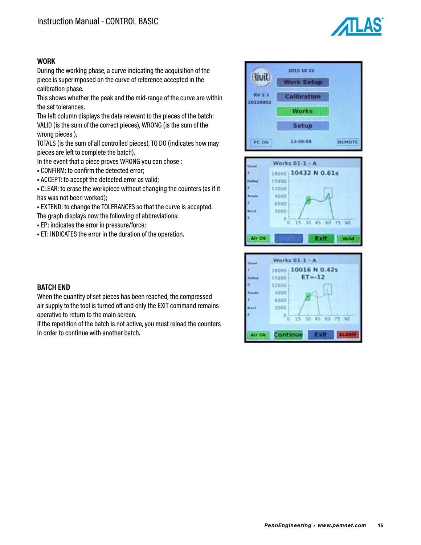

## **WORK**

During the working phase, a curve indicating the acquisition of the piece is superimposed on the curve of reference accepted in the calibration phase.

This shows whether the peak and the mid-range of the curve are within the set tolerances.

The left column displays the data relevant to the pieces of the batch: VALID (is the sum of the correct pieces), WRONG (is the sum of the wrong pieces ),

TOTALS (is the sum of all controlled pieces), TO DO (indicates how may pieces are left to complete the batch).

In the event that a piece proves WRONG you can chose :

• CONFIRM: to confirm the detected error;

• ACCEPT: to accept the detected error as valid;

• CLEAR: to erase the workpiece without changing the counters (as if it has was not been worked);

• EXTEND: to change the TOLERANCES so that the curve is accepted. The graph displays now the following of abbreviations:

• EP: indicates the error in pressure/force;

• ET: INDICATES the error in the duration of the operation.







## **BATCH END**

When the quantity of set pieces has been reached, the compressed air supply to the tool is turned off and only the EXIT command remains operative to return to the main screen.

If the repetition of the batch is not active, you must reload the counters in order to continue with another batch.